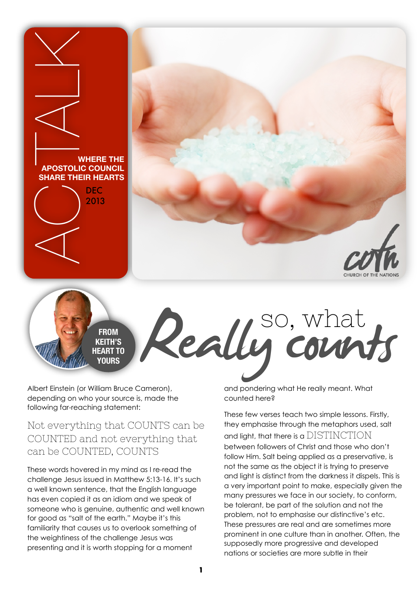



**FROM KEITH'S HEART TO YOURS**

Albert Einstein (or William Bruce Cameron), depending on who your source is, made the following far-reaching statement:

Not everything that COUNTS can be COUNTED and not everything that can be COUNTED, COUNTS

These words hovered in my mind as I re-read the challenge Jesus issued in Matthew 5:13-16. It's such a well known sentence, that the English language has even copied it as an idiom and we speak of someone who is genuine, authentic and well known for good as "salt of the earth." Maybe it's this familiarity that causes us to overlook something of the weightiness of the challenge Jesus was presenting and it is worth stopping for a moment

Really count<br>Really count Hereally meant. What and pondering what He really meant. What counted here?

so, what

These few verses teach two simple lessons. Firstly, they emphasise through the metaphors used, salt and light, that there is a  $\mathrm{DISTINCTION}$ between followers of Christ and those who don't follow Him. Salt being applied as a preservative, is not the same as the object it is trying to preserve and light is distinct from the darkness it dispels. This is a very important point to make, especially given the many pressures we face in our society, to conform, be tolerant, be part of the solution and not the problem, not to emphasise our distinctive's etc. These pressures are real and are sometimes more prominent in one culture than in another. Often, the supposedly more progressive and developed nations or societies are more subtle in their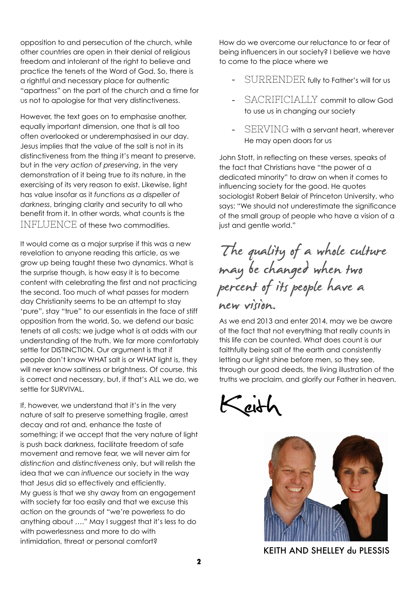opposition to and persecution of the church, while other countries are open in their denial of religious freedom and intolerant of the right to believe and practice the tenets of the Word of God. So, there is a rightful and necessary place for authentic "apartness" on the part of the church and a time for us not to apologise for that very distinctiveness.

However, the text goes on to emphasise another, equally important dimension, one that is all too often overlooked or underemphasised in our day. Jesus implies that the value of the salt is not in its distinctiveness from the thing it's meant to preserve, but in the *very action of preserving*, in the very demonstration of it being true to its nature, in the exercising of its very reason to exist. Likewise, light has value insofar as it *functions as a dispeller of darkness*, bringing clarity and security to all who benefit from it. In other words, what counts is the INFLUENCE of these two commodities.

It would come as a major surprise if this was a new revelation to anyone reading this article, as we grow up being taught these two dynamics. What is the surprise though, is how easy it is to become content with celebrating the first and not practicing the second. Too much of what passes for modern day Christianity seems to be an attempt to stay 'pure", stay "true" to our essentials in the face of stiff opposition from the world. So, we defend our basic tenets at all costs; we judge what is at odds with our understanding of the truth. We far more comfortably settle for DISTINCTION. Our argument is that if people don't know WHAT salt is or WHAT light is, they will never know saltiness or brightness. Of course, this is correct and necessary, but, if that's ALL we do, we settle for SURVIVAL.

If, however, we understand that it's in the very nature of salt to preserve something fragile, arrest decay and rot and, enhance the taste of something; if we accept that the very nature of light is push back darkness, facilitate freedom of safe movement and remove fear, we will never aim for *distinction* and *distinctiveness* only, but will relish the idea that we can *influence* our society in the way that Jesus did so effectively and efficiently. My guess is that we shy away from an engagement with society far too easily and that we excuse this action on the grounds of "we're powerless to do anything about …." May I suggest that it's less to do with powerlessness and more to do with intimidation, threat or personal comfort?

How do we overcome our reluctance to or fear of being influencers in our society? I believe we have to come to the place where we

- SURRENDER fully to Father's will for us
- SACRIFICIALLY commit to allow God to use us in changing our society
- SERVING with a servant heart, wherever He may open doors for us

John Stott, in reflecting on these verses, speaks of the fact that Christians have "the power of a dedicated minority" to draw on when it comes to influencing society for the good. He quotes sociologist Robert Belair of Princeton University, who says: "We should not underestimate the significance of the small group of people who have a vision of a just and gentle world."

## The quality of a whole culture<br>may be changed when two<br>percent of its people have a new vision.

As we end 2013 and enter 2014, may we be aware of the fact that not everything that really counts in this life can be counted. What does count is our faithfully being salt of the earth and consistently letting our light shine before men, so they see, through our good deeds, the living illustration of the truths we proclaim, and glorify our Father in heaven.

Keith



KEITH AND SHELLEY du PLESSIS